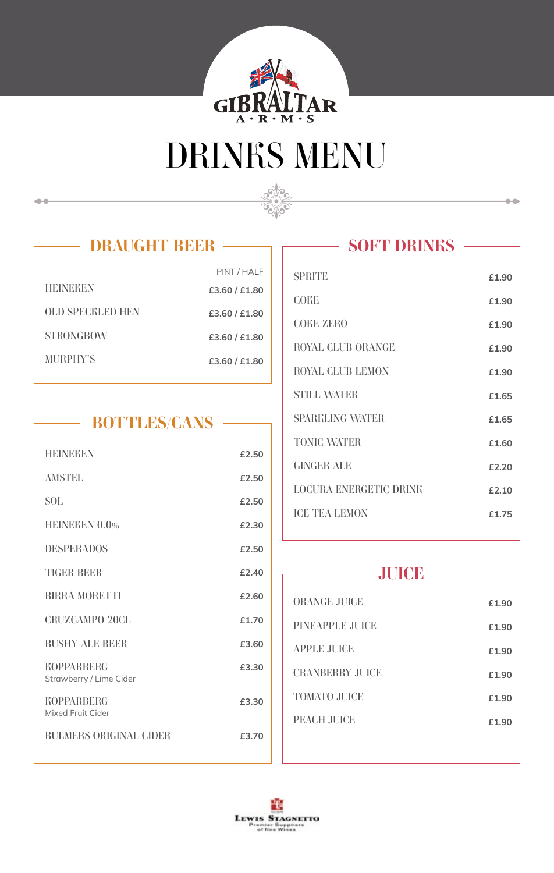

# *DRINKS MENU*

Sepon



 $\bullet\bullet$ 

| PINT / HALF   |
|---------------|
| £3.60 / £1.80 |
| £3.60 / £1.80 |
| £3,60 / £1,80 |
| £3,60 / £1,80 |
|               |

# *BOTTLES/CANS*

| <b>HEINEKEN</b>                              | £2.50    |
|----------------------------------------------|----------|
| <b>AMSTEL</b>                                | £2.50    |
| SOL.                                         | £2.50    |
| HEINEKEN 0.0%                                | £2.30    |
| <b>DESPERADOS</b>                            | £2.50    |
| <b>TIGER BEER</b>                            | $f$ 2.40 |
| <b>BIRRA MORETTI</b>                         | £2.60    |
| <b>CRUZCAMPO 20CL</b>                        | £1.70    |
| <b>BUSHY ALE BEER</b>                        | £3.60    |
| <b>KOPPARRERG</b><br>Strawberry / Lime Cider | £3.30    |
| <b>KOPPARRERG</b><br>Mixed Fruit Cider       | £3.30    |
| <b>BULMERS ORIGINAL CIDER</b>                | £3.70    |
|                                              |          |

#### *SOFT DRINKS*  $\overline{\phantom{a}}$

 $\bullet\bullet$ 

| <b>SPRITE</b>                 | £1.90 |
|-------------------------------|-------|
| <b>COKE</b>                   | £1.90 |
| <b>COKE ZERO</b>              | £1.90 |
| <b>ROYAL CLUB ORANGE</b>      | £1.90 |
| <b>ROYAL CLUB LEMON</b>       | £1.90 |
| <b>STILL WATER</b>            | £1.65 |
| <b>SPARKLING WATER</b>        | £1.65 |
| <b>TONIC WATER</b>            | £1.60 |
| GINGER ALE                    | £2.20 |
| <b>LOCURA ENERGETIC DRINK</b> | f2.10 |
| <b>ICE TEA LEMON</b>          | £1.75 |
|                               |       |

# *JUICE*

| <b>ORANGE JUICE</b>    | £1.90 |
|------------------------|-------|
| PINEAPPLE JUICE        | £1.90 |
| <b>APPLE JUICE</b>     | £1.90 |
| <b>CRANBERRY JUICE</b> | £1.90 |
| <b>TOMATO JUICE</b>    | £1.90 |
| PEACH JUICE            | £1.90 |
|                        |       |

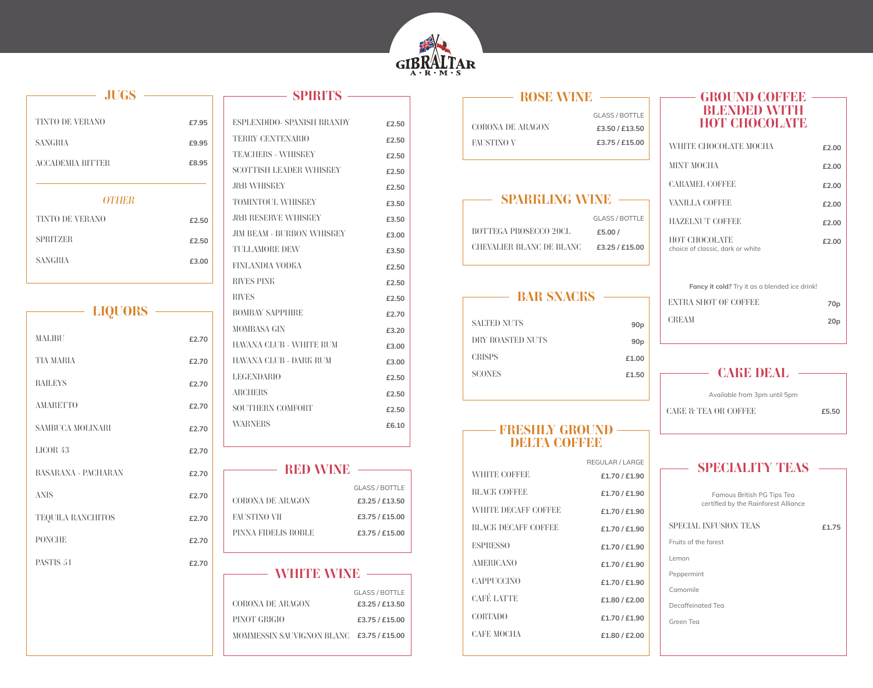

| <b>JUGS</b> |  |  |
|-------------|--|--|
|             |  |  |
| £7.95       |  |  |
| £9.95       |  |  |
| £8.95       |  |  |
|             |  |  |
|             |  |  |
| £2.50       |  |  |
| £2.50       |  |  |
| £3.00       |  |  |
|             |  |  |

| <b>LIQUORS</b>             |       |
|----------------------------|-------|
| <b>MALIBU</b>              | £2.70 |
| TIA MARIA                  | £2.70 |
| <b>BAILEYS</b>             | £2.70 |
| <b>AMARETTO</b>            | £2.70 |
| <b>SAMBUCA MOLINARI</b>    | £2.70 |
| LICOR <sub>43</sub>        | £2.70 |
| <b>BASARANA - PACHARAN</b> | £2.70 |
| <b>ANIS</b>                | £2.70 |
| <b>TEQUILA RANCHITOS</b>   | £2.70 |
| <b>PONCHE</b>              | £2.70 |
| PASTIS 51                  | £2.70 |

| $-$ SPIRITS $-$                   |       |
|-----------------------------------|-------|
|                                   |       |
| <b>ESPLENDIDO- SPANISH BRANDY</b> | £2.50 |
| <b>TERRY CENTENARIO</b>           | £2.50 |
| <b>TEACHERS - WHISKEY</b>         | £2.50 |
| <b>SCOTTISH LEADER WHISKEY</b>    | £2.50 |
| <b>J&amp;B WHISKEY</b>            | £2.50 |
| <b>TOMINTOUL WHISKEY</b>          | £3.50 |
| <b>J&amp;B RESERVE WHISKEY</b>    | £3.50 |
| <b>JIM BEAM - BURBON WHISKEY</b>  | £3.00 |
| <b>TULLAMORE DEW</b>              | £3.50 |
| FINLANDIA VODEA                   | £2.50 |
| <b>RIVES PINK</b>                 | £2.50 |
| <b>RIVES</b>                      | £2.50 |
| <b>BOMBAY SAPPHIRE</b>            | £2.70 |
| <b>MOMBASA GIN</b>                | £3.20 |
| HAVANA CLUB - WHITE RUM           | £3.00 |
| HAVANA CLUB - DARE RUM            | £3.00 |
| <b>LEGENDARIO</b>                 | £2.50 |
| <b>ARCHERS</b>                    | £2.50 |
| <b>SOUTHERN COMFORT</b>           | £2.50 |
| <b>WARNERS</b>                    | £6.10 |
|                                   |       |

| RBD WNB             |                |
|---------------------|----------------|
|                     |                |
|                     | GLASS / BOTTLE |
| CORONA DE ARAGON    | £3.25 / £13.50 |
| FAUSTINO VII        | £3.75 / £15.00 |
| PINNA FIDELIS ROBLE | £3.75 / £15.00 |
|                     |                |

# - WHITE WINE -

|                                          | <b>GLASS / BOTTLE</b> |
|------------------------------------------|-----------------------|
| <b>CORONA DE ARAGON</b>                  | £3.25 / £13.50        |
| <b>PINOT GRIGIO</b>                      | £3.75 / £15.00        |
| MOMMESSIN SAUVIGNON BLANC £3.75 / £15.00 |                       |

| <b>ROSE WINE</b>  |                       |  |
|-------------------|-----------------------|--|
|                   |                       |  |
|                   | <b>GLASS / BOTTLE</b> |  |
| CORONA DE ARAGON  | £3.50 / £13.50        |  |
| <b>FAUSTINO V</b> | £3.75 / £15.00        |  |
|                   |                       |  |

### *SPARKLING WINE*

|                                 | <b>GLASS / BOTTLE</b> |
|---------------------------------|-----------------------|
| BOTTEGA PROSECCO 20CL           | £5,00/                |
| <b>CHEVALIER BLANC DE BLANC</b> | £3.25 / £15.00        |

# *BAR SNACKS*

| <b>SALTED NUTS</b> | 90 <sub>p</sub> |
|--------------------|-----------------|
| DRY ROASTED NUTS   | 90 <sub>p</sub> |
| <b>CRISPS</b>      | £1.00           |
| <b>SCONES</b>      | f1.50           |
|                    |                 |

# *FRESHLY GROUND DELTA COFFEE*

|                            | REGULAR / LARGE |
|----------------------------|-----------------|
| <b>WHITE COFFEE</b>        | £1.70/£1.90     |
| <b>BLACK COFFEE</b>        | £1.70 / £1.90   |
| <b>WHITE DECAFF COFFEE</b> | £1.70 / £1.90   |
| <b>BLACK DECAFF COFFEE</b> | £1.70 / £1.90   |
| <b>ESPRESSO</b>            | £1.70 / £1.90   |
| <b>AMERICANO</b>           | £1.70 / £1.90   |
| <b>CAPPUCCINO</b>          | £1.70 / £1.90   |
| <b>CAFÉ LATTE</b>          | £1,80 / £2,00   |
| <b>CORTADO</b>             | £1.70 / £1.90   |
| <b>CAFE MOCHA</b>          | £1.80 / £2.00   |
|                            |                 |

### *GROUND COFFEE BLENDED WITH HOT CHOCOLATE*

| WHITE CHOCOLATE MOCHA                             | £2.00 |
|---------------------------------------------------|-------|
| MINT MOCHA                                        | £2.00 |
| <b>CARAMEL COFFEE</b>                             | £2.00 |
| VANILLA COFFEE                                    | £2.00 |
| <b>HAZELNUT COFFEE</b>                            | £2.00 |
| HOT CHOCOLATE<br>choice of classic, dark or white | £2.00 |

| <b>Fancy it cold?</b> Try it as a blended ice drink! |                 |
|------------------------------------------------------|-----------------|
| <b>EXTRA SHOT OF COFFEE</b>                          | 70 <sub>p</sub> |
| <b>CREAM</b>                                         | 20 <sub>p</sub> |
|                                                      |                 |

*CAKE & TEA OR COFFEE* **£5.50** *CAKE DEAL* Available from 3pm until 5pm

| <b>SPECIALITY TEAS</b>                                             |       |
|--------------------------------------------------------------------|-------|
| Famous British PG Tips Tea<br>certified by the Rainforest Alliance |       |
| <b>SPECIAL INFUSION TEAS</b>                                       | £1.75 |
| Fruits of the forest                                               |       |
| l emon                                                             |       |
| Peppermint                                                         |       |
| Camomile                                                           |       |
| Decaffeinated Tea                                                  |       |
| Green Tea                                                          |       |
|                                                                    |       |